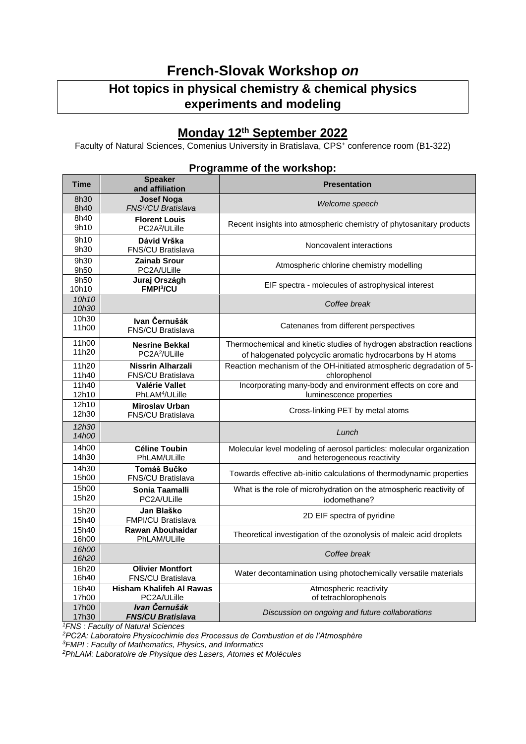# **French-Slovak Workshop** *on*

# **Hot topics in physical chemistry & chemical physics experiments and modeling**

## **Monday 12 th September 2022**

Faculty of Natural Sciences, Comenius University in Bratislava, CPS<sup>+</sup> conference room (B1-322)

#### **Time Speaker and affiliation**<br>and affiliation 8h30 8h40 **Josef Noga** *FNS<sup>1</sup> /CU Bratislava Welcome speech*  8h40 9h10 **Florent Louis** PC2A<sup>2</sup>/ULille Recent insights into atmospheric chemistry of phytosanitary products 9h10 9h30 **Dávid Vrška EXECU Bratislava** Noncovalent interactions 9h30 9h50 **Zainab Srour** PC2A/ULille Atmospheric chlorine chemistry modelling 9h50 10h10 **Juraj Országh FMPI<sup>3</sup> EIF spectra - molecules of astrophysical interest** *10h10 10h30 Coffee break* 10h30 11h00 **Ivan Černušák FINS/CU Bratislava Catenanes from different perspectives**<br>FNS/CU Bratislava 11h00 11h20 **Nesrine Bekkal** PC2A<sup>2</sup>/ULille Thermochemical and kinetic studies of hydrogen abstraction reactions of halogenated polycyclic aromatic hydrocarbons by H atoms 11h20 11h40 **Nissrin Alharzali** FNS/CU Bratislava Reaction mechanism of the OH-initiated atmospheric degradation of 5 chlorophenol 11h40 12h10 **Valérie Vallet** PhLAM<sup>4</sup> /ULille Incorporating many-body and environment effects on core and luminescence properties 12h10 12h30 **Miroslav Urban**<br>**FNS/CU Bratislava** Cross-linking PET by metal atoms *12h30 14h00 Lunch* 14h00 14h30 **Céline Toubin** PhLAM/ULille Molecular level modeling of aerosol particles: molecular organization and heterogeneous reactivity 14h30 15h00 **Tomáš Bučko** FORMICU Bratislava Towards effective ab-initio calculations of thermodynamic properties 15h00 15h20 **Sonia Taamalli** PC2A/ULille What is the role of microhydration on the atmospheric reactivity of iodomethane? 15h20 15h40 **Jan Blaško Jan Blasko**<br>FMPI/CU Bratislava **2D EIF** spectra of pyridine 15h40 16h00 **Rawan Abouhaidar** Theoretical investigation of the ozonolysis of maleic acid droplets *16h00 16h20 Coffee break* 16h20 16h40 **Olivier Montfort** FNS/CU Bratislava Water decontamination using photochemically versatile materials 16h40 17h00 **Hisham Khalifeh Al Rawas** PC2A/ULille Atmospheric reactivity of tetrachlorophenols 17h00 17h30 *Ivan Černušák FNS/CU Bratislava Discussion on ongoing and future collaborations*

### **Programme of the workshop:**

*<sup>1</sup>FNS : Faculty of Natural Sciences*

*<sup>2</sup>PC2A: Laboratoire Physicochimie des Processus de Combustion et de l'Atmosphère*

*<sup>3</sup>FMPI : Faculty of Mathematics, Physics, and Informatics*

*2PhLAM: Laboratoire de Physique des Lasers, Atomes et Molécules*